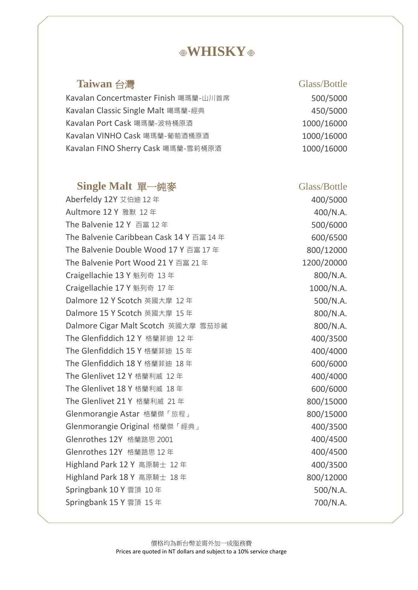# **WHISKY**

### **Taiwan 台灣** Glass/Bottle

Kavalan Concertmaster Finish 噶瑪蘭-山川首席 600/5000 Kavalan Classic Single Malt 噶瑪蘭-經典 450/5000 Kavalan Port Cask 噶瑪蘭-波特桶原酒 1000/16000 Kavalan VINHO Cask 噶瑪蘭-葡萄酒桶原酒 インチング 2000/16000 Kavalan FINO Sherry Cask 噶瑪蘭-雪莉桶原酒 1000/16000

### **Single Malt** 單一純麥 Glass/Bottle

Aberfeldy 12Y 艾伯迪 12 年 400/5000 Aultmore 12 Y 雅默 12 年 400/N.A. The Balvenie 12 Y 百富 12 年 500/6000 The Balvenie Caribbean Cask  $14$  Y 百富  $14 \text{ } \text{=} 14$   $\text{=} 600/6500$ The Balvenie Double Wood  $17 Y \overline{e} = 17 \overline{e}$  800/12000 The Balvenie Port Wood 21 Y 百富 21 年 1200/20000 Craigellachie 13 Y 魁列奇 13 年 800/N.A. Craigellachie 17 Y 魁列奇 17 年 1000/N.A. Dalmore 12 Y Scotch 英國大摩 12 年 500/N.A. Dalmore 15 Y Scotch 英國大摩 15 年 800/N.A. Dalmore Cigar Malt Scotch 英國大摩 雪茄珍藏 800/N.A. The Glenfiddich 12 Y 格蘭菲迪 12 年 400/3500 The Glenfiddich 15 Y 格蘭菲迪 15 年 400/4000 The Glenfiddich 18 Y 格蘭菲迪 18 年 600/6000 The Glenlivet 12 Y 格蘭利威 12 年 400/4000 The Glenlivet 18 Y 格蘭利威 18 年 600/6000 The Glenlivet 21 Y 格蘭利威 21 年 800/15000 Glenmorangie Astar 格蘭傑「旅程」 800/15000 Glenmorangie Original 格蘭傑「經典」 インコンピュータ 400/3500 Glenrothes 12Y 格蘭路思 2001 2002 2001 2002 2004 2007 400/4500 Glenrothes 12Y 格蘭路思 12 年 100/4500 Highland Park 12 Y 高原騎士 12 年 400/3500 Highland Park 18 Y 高原騎士 18 年 800/12000 Springbank 10 Y 雲頂 10 年 500/N.A. Springbank 15 Y 雲頂 15 年 700/N.A.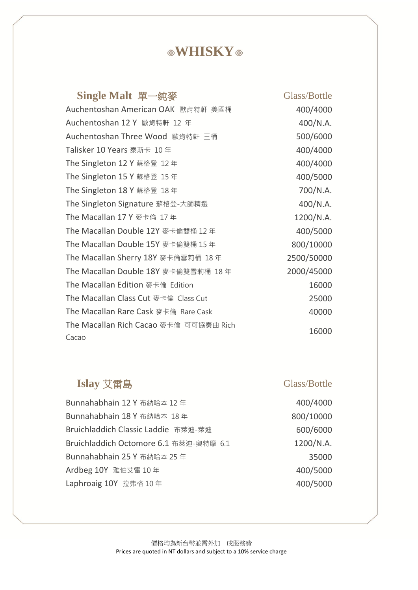# **WHISKY**

| Single Malt 單一純麥                       | Glass/Bottle |
|----------------------------------------|--------------|
| Auchentoshan American OAK 歐肯特軒 美國桶     | 400/4000     |
| Auchentoshan 12 Y 歐肯特軒 12 年            | 400/N.A.     |
| Auchentoshan Three Wood 歐肯特軒 三桶        | 500/6000     |
| Talisker 10 Years 泰斯卡 10年              | 400/4000     |
| The Singleton 12 Y 蘇格登 12年             | 400/4000     |
| The Singleton 15 Y 蘇格登 15 年            | 400/5000     |
| The Singleton 18 Y 蘇格登 18年             | 700/N.A.     |
| The Singleton Signature 蘇格登-大師精選       | 400/N.A.     |
| The Macallan 17 Y 麥卡倫 17年              | 1200/N.A.    |
| The Macallan Double 12Y 麥卡倫雙桶 12年      | 400/5000     |
| The Macallan Double 15Y 麥卡倫雙桶 15年      | 800/10000    |
| The Macallan Sherry 18Y 麥卡倫雪莉桶 18年     | 2500/50000   |
| The Macallan Double 18Y 麥卡倫雙雪莉桶 18年    | 2000/45000   |
| The Macallan Edition 麥卡倫 Edition       | 16000        |
| The Macallan Class Cut 麥卡倫 Class Cut   | 25000        |
| The Macallan Rare Cask 麥卡倫 Rare Cask   | 40000        |
| The Macallan Rich Cacao 麥卡倫 可可協奏曲 Rich | 16000        |
| Cacao                                  |              |

# **Islay** 艾雷島 Glass/Bottle

400/4000

| Bunnahabhain 12 Y 布納哈本 12年             | 400/4000  |
|----------------------------------------|-----------|
| Bunnahabhain 18 Y 布納哈本 18年             | 800/10000 |
| Bruichladdich Classic Laddie 布萊迪-萊迪    | 600/6000  |
| Bruichladdich Octomore 6.1 布萊迪-奧特摩 6.1 | 1200/N.A. |
| Bunnahabhain 25 Y 布納哈本 25 年            | 35000     |
| Ardbeg 10Y 雅伯艾雷 10年                    | 400/5000  |
| Laphroaig 10Y 拉弗格 10年                  | 400/5000  |

| 800/10000 |
|-----------|
| 600/6000  |
| 1200/N.A. |
| 35000     |
| 400/5000  |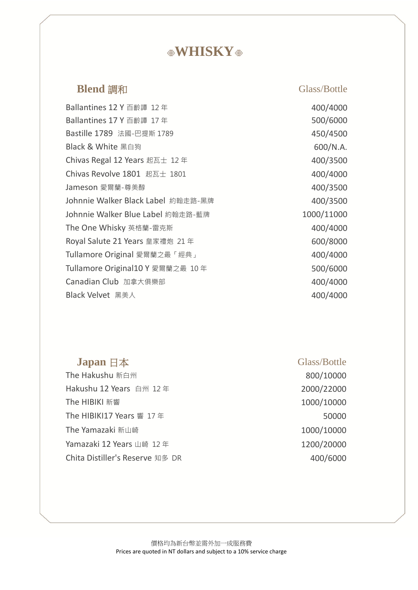# **WHISKY**

### **Blend** 調和 Glass/Bottle

Ballantines 12 Y 百齡譚 12 年 Ballantines 17 Y 百齡譚 17 年 Bastille 1789 法國-巴提斯 1789 450/4500 Black & White 黑白狗 600/N.A. Chivas Regal 12 Years 起瓦士 12年  $400/3500$ Chivas Revolve 1801 起瓦士 1801 400/4000 Jameson 愛爾蘭-尊美醇 インファイル インタン インタン インタン 400/3500 Johnnie Walker Black Label 約翰走路-黑牌 400/3500 Johnnie Walker Blue Label 約翰走路-藍牌 1000/11000 The One Whisky 英格蘭-雷克斯 400/4000 Royal Salute 21 Years 皇家禮炮 21 年 600/8000 Tullamore Original 愛爾蘭之最「經典」 400/4000 Tullamore Original10 Y 愛爾蘭之最 10年 500/6000 Canadian Club 加拿大俱樂部 400/4000 Black Velvet 黑美人 **400/4000** 

400/4000 500/6000

### **Japan** 日本 Glass/Bottle

The Hakushu 新白州 800/10000 Hakushu 12 Years 白州 12年 2000/22000 The HIBIKI 新響 2000/10000 1000/10000 1000/10000 1000/10000 1000 1000 1000 1000 100 The HIBIKI17 Years 響  $17 \ncong$  50000 The Yamazaki 新山崎 **1000/10000** Yamazaki 12 Years 山崎 12年 1200/20000 Chita Distiller's Reserve 知多 DR 400/6000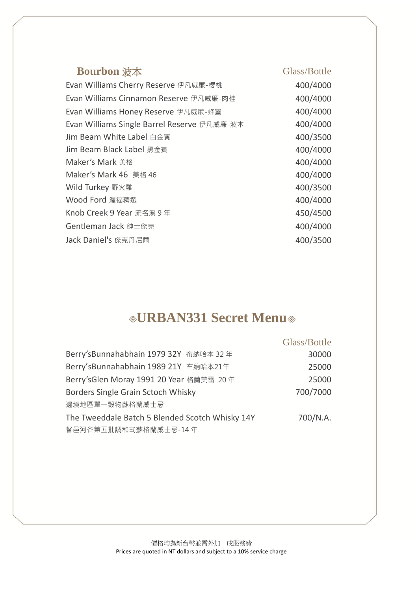### **Bourbon** 波本 Glass/Bottle

| 400/4000 |
|----------|
| 400/4000 |
| 400/4000 |
| 400/4000 |
| 400/3500 |
| 400/4000 |
| 400/4000 |
| 400/4000 |
| 400/3500 |
| 400/4000 |
| 450/4500 |
| 400/4000 |
| 400/3500 |
|          |

# **URBAN331 Secret Menu**

|                                                 | Glass/Bottle |
|-------------------------------------------------|--------------|
| Berry's Bunnahabhain 1979 32Y 布納哈本 32年          | 30000        |
| Berry'sBunnahabhain 1989 21Y 布納哈本21年            | 25000        |
| Berry's Glen Moray 1991 20 Year 格蘭莫雷 20年        | 25000        |
| Borders Single Grain Sctoch Whisky              | 700/7000     |
| 邊境地區單一穀物蘇格蘭威士忌                                  |              |
| The Tweeddale Batch 5 Blended Scotch Whisky 14Y | 700/N.A.     |
| 督邑河谷第五批調和式蘇格蘭威士忌-14年                            |              |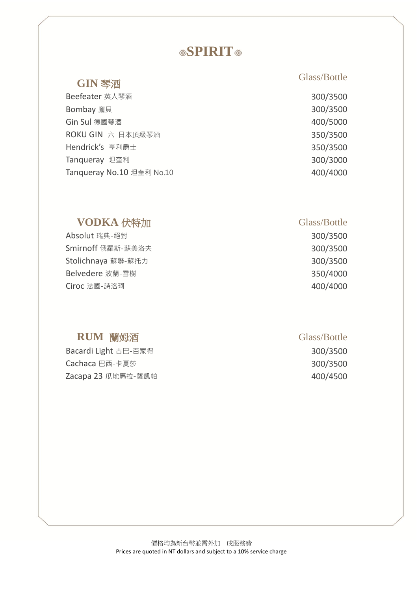# **SPIRIT**

| Beefeater 英人琴酒            | 300/3500 |
|---------------------------|----------|
| Bombay 龐貝                 | 300/3500 |
| Gin Sul 德國琴酒              | 400/5000 |
| ROKU GIN 六 日本頂級琴酒         | 350/3500 |
| Hendrick's 亨利爵士           | 350/3500 |
| Tanqueray 坦奎利             | 300/3000 |
| Tanqueray No.10 坦奎利 No.10 | 400/4000 |

### **VODKA** 伏特加 Glass/Bottle

Smirnoff 俄羅斯-蘇美洛夫 300/3500 Stolichnaya 蘇聯-蘇托力 300/3500 Belvedere 波蘭-雪樹 350/4000 **Ciroc 法國-詩洛珂 400/4000 10000 10000 10000 10000 10000 10000 10000 10000 10000 1000** 

### **RUM** 蘭姆酒 Glass/Bottle

Bacardi Light 古巴-百家得 300/3500 **Cachaca** 巴西-卡夏莎 300/3500 Zacapa 23 瓜地馬拉-薩凱帕 400/4500

# **GIN 琴酒** Glass/Bottle

| 300/3500 |
|----------|
| 300/3500 |
| 400/5000 |
| 350/3500 |
| 350/3500 |
| 300/3000 |
| 400/4000 |

Absolut 瑞典-絕對 200/3500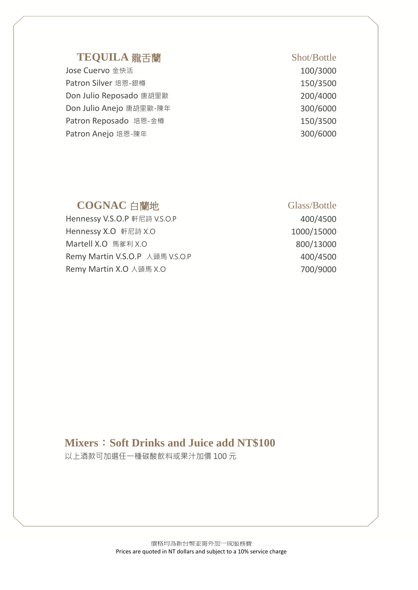### TEQUILA 龍舌蘭 Shot/Bottle

Jose Cuervo 金快活 100/3000 Patron Silver 培恩-銀樽 150/3500 Don Julio Reposado 唐胡里歐 200/4000 Don Julio Anejo 唐胡里歐-陳年 300/6000 Patron Reposado 培恩-金樽 150/3500 Patron Anejo 培恩-陳年 300/6000

### **COGNAC** 白蘭地 Glass/Bottle

Hennessy V.S.O.P 軒尼詩 V.S.O.P 400/4500 Hennessy X.O 軒尼詩 X.O 2000 2000 1000 1000 15000 Martell X.O 馬爹利 X.O 800/13000 Remy Martin V.S.O.P 人頭馬 V.S.O.P 400/4500 Remy Martin X.O 人頭馬 X.O 700/9000

### **Mixers**:**Soft Drinks and Juice add NT\$100**

以上酒款可加選任一種碳酸飲料或果汁加價 100 元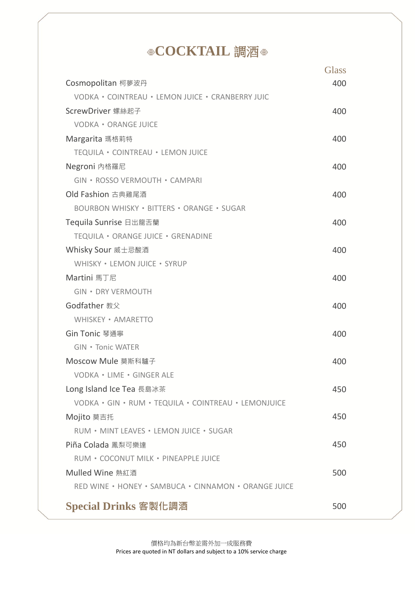# **©COCKTAIL** 調酒 ◎

|                                                      | <b>Glass</b> |
|------------------------------------------------------|--------------|
| Cosmopolitan 柯夢波丹                                    | 400          |
| VODKA · COINTREAU · LEMON JUICE · CRANBERRY JUIC     |              |
| ScrewDriver 螺絲起子                                     | 400          |
| <b>VODKA · ORANGE JUICE</b>                          |              |
| Margarita 瑪格莉特                                       | 400          |
| TEQUILA · COINTREAU · LEMON JUICE                    |              |
| Negroni 内格羅尼                                         | 400          |
| GIN · ROSSO VERMOUTH · CAMPARI                       |              |
| Old Fashion 古典雞尾酒                                    | 400          |
| <b>BOURBON WHISKY · BITTERS · ORANGE · SUGAR</b>     |              |
| Tequila Sunrise 日出龍舌蘭                                | 400          |
| TEQUILA · ORANGE JUICE · GRENADINE                   |              |
| Whisky Sour 威士忌酸酒                                    | 400          |
| WHISKY . LEMON JUICE . SYRUP                         |              |
| Martini 馬丁尼                                          | 400          |
| <b>GIN · DRY VERMOUTH</b>                            |              |
| Godfather 教父                                         | 400          |
| WHISKEY • AMARETTO                                   |              |
| Gin Tonic 琴通寧                                        | 400          |
| <b>GIN • Tonic WATER</b>                             |              |
| Moscow Mule 莫斯科驢子                                    | 400          |
| VODKA · LIME · GINGER ALE                            |              |
| Long Island Ice Tea 長島冰茶                             | 450          |
| VODKA · GIN · RUM · TEQUILA · COINTREAU · LEMONJUICE |              |
| Mojito 莫吉托                                           | 450          |
| RUM . MINT LEAVES . LEMON JUICE . SUGAR              |              |
| Piña Colada 鳳梨可樂達                                    | 450          |
| RUM · COCONUT MILK · PINEAPPLE JUICE                 |              |
| Mulled Wine 熱紅酒                                      | 500          |
| RED WINE · HONEY · SAMBUCA · CINNAMON · ORANGE JUICE |              |
| Special Drinks 客製化調酒                                 | 500          |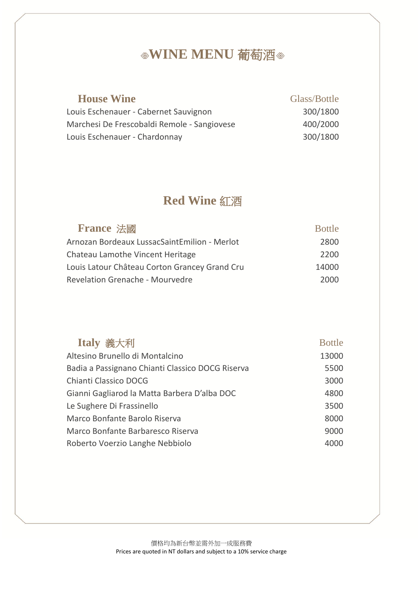# **WINE MENU** 葡萄酒

| <b>House Wine</b>                           | Glass/Bottle |
|---------------------------------------------|--------------|
| Louis Eschenauer - Cabernet Sauvignon       | 300/1800     |
| Marchesi De Frescobaldi Remole - Sangiovese | 400/2000     |
| Louis Eschenauer - Chardonnay               | 300/1800     |

# **Red Wine** 紅酒

| <b>France 法國</b>                              | <b>Bottle</b> |
|-----------------------------------------------|---------------|
| Arnozan Bordeaux LussacSaintEmilion - Merlot  | 2800          |
| Chateau Lamothe Vincent Heritage              | 2200          |
| Louis Latour Château Corton Grancey Grand Cru | 14000         |
| <b>Revelation Grenache - Mourvedre</b>        | 2000          |

| Italy 義大利                                        | <b>Bottle</b> |
|--------------------------------------------------|---------------|
| Altesino Brunello di Montalcino                  | 13000         |
| Badia a Passignano Chianti Classico DOCG Riserva | 5500          |
| Chianti Classico DOCG                            | 3000          |
| Gianni Gagliarod la Matta Barbera D'alba DOC     | 4800          |
| Le Sughere Di Frassinello                        | 3500          |
| Marco Bonfante Barolo Riserva                    | 8000          |
| Marco Bonfante Barbaresco Riserva                | 9000          |
| Roberto Voerzio Langhe Nebbiolo                  | 4000          |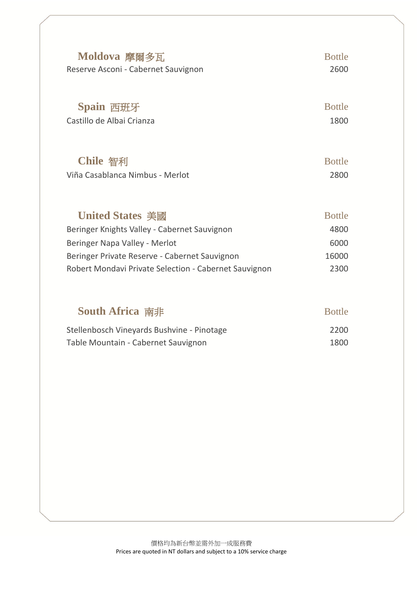| Moldova 摩爾多瓦                        | <b>Bottle</b> |
|-------------------------------------|---------------|
| Reserve Asconi - Cabernet Sauvignon | 2600          |
| Spain 西班牙                           | <b>Bottle</b> |
| Castillo de Albai Crianza           | 1800          |
| Chile 智利                            | <b>Bottle</b> |
| Viña Casablanca Nimbus - Merlot     | 2800          |
| <b>United States 美國</b>             | <b>Bottle</b> |

| Beringer Knights Valley - Cabernet Sauvignon          | 4800  |
|-------------------------------------------------------|-------|
| Beringer Napa Valley - Merlot                         | 6000  |
| Beringer Private Reserve - Cabernet Sauvignon         | 16000 |
| Robert Mondavi Private Selection - Cabernet Sauvignon | 2300  |

| <b>South Africa</b> 南非                     | <b>Bottle</b> |
|--------------------------------------------|---------------|
| Stellenbosch Vineyards Bushvine - Pinotage | 2200          |
| Table Mountain - Cabernet Sauvignon        | 1800          |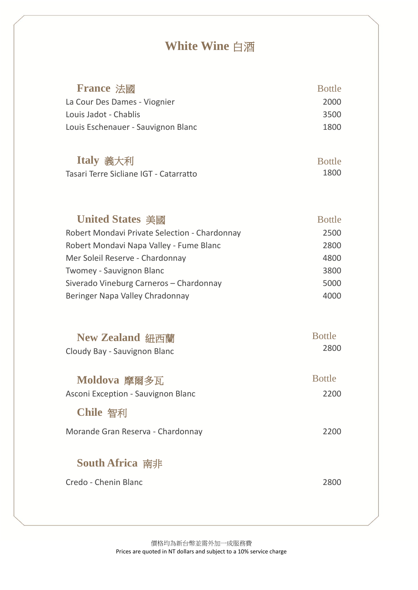# **White Wine** 白酒

| <b>France 法國</b>                                               | <b>Bottle</b>         |
|----------------------------------------------------------------|-----------------------|
| La Cour Des Dames - Viognier                                   | 2000                  |
| Louis Jadot - Chablis                                          | 3500                  |
| Louis Eschenauer - Sauvignon Blanc                             | 1800                  |
| Italy 義大利                                                      | <b>Bottle</b>         |
| Tasari Terre Sicliane IGT - Catarratto                         | 1800                  |
| <b>United States 美國</b>                                        | <b>Bottle</b>         |
| Robert Mondavi Private Selection - Chardonnay                  | 2500                  |
| Robert Mondavi Napa Valley - Fume Blanc                        | 2800                  |
| Mer Soleil Reserve - Chardonnay                                | 4800                  |
| <b>Twomey - Sauvignon Blanc</b>                                | 3800                  |
| Siverado Vineburg Carneros - Chardonnay                        | 5000                  |
| Beringer Napa Valley Chradonnay                                | 4000                  |
| New Zealand 紐西蘭                                                | <b>Bottle</b>         |
| Cloudy Bay - Sauvignon Blanc                                   | 2800                  |
| Moldova 摩爾多瓦<br>Asconi Exception - Sauvignon Blanc<br>Chile 智利 | <b>Bottle</b><br>2200 |
| Morande Gran Reserva - Chardonnay                              | 2200                  |
| <b>South Africa</b> 南非<br>Credo - Chenin Blanc                 | 2800                  |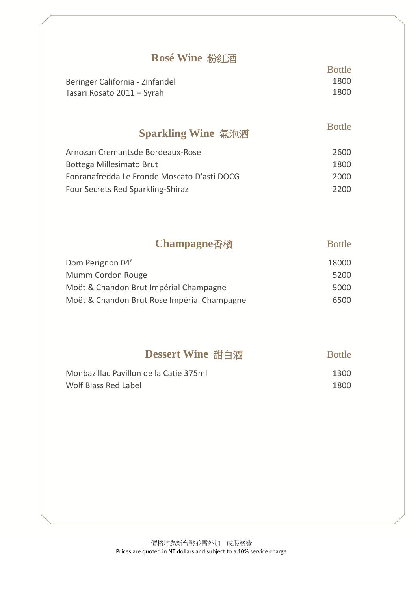### **Rosé Wine** 粉紅酒

|                                 | <b>Bottle</b> |
|---------------------------------|---------------|
| Beringer California - Zinfandel | 1800          |
| Tasari Rosato 2011 – Syrah      | 1800          |

### **Sparkling Wine** 氣泡酒

Bottle

| Arnozan Cremantsde Bordeaux-Rose            | 2600  |
|---------------------------------------------|-------|
| Bottega Millesimato Brut                    | 1800  |
| Fonranafredda Le Fronde Moscato D'asti DOCG | 2000  |
| Four Secrets Red Sparkling-Shiraz           | -2200 |

## **Champagne香檳 Bottle**

| Dom Perignon 04'                            | 18000 |
|---------------------------------------------|-------|
| Mumm Cordon Rouge                           | 5200  |
| Moët & Chandon Brut Impérial Champagne      | 5000  |
| Moët & Chandon Brut Rose Impérial Champagne | 6500  |

# **Dessert Wine** 甜白酒 Bottle

| Monbazillac Pavillon de la Catie 375ml | 1300 |
|----------------------------------------|------|
| Wolf Blass Red Label                   | 1800 |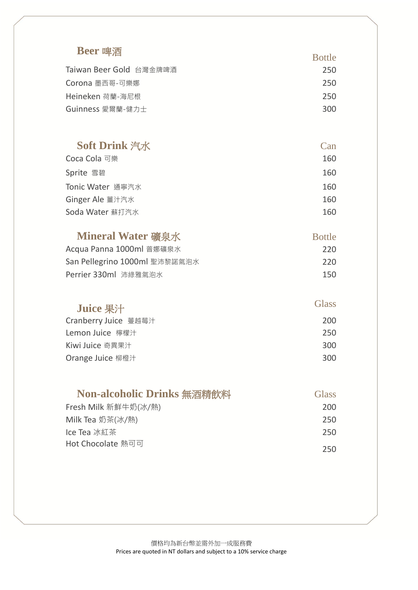| Beer 啤酒                       | <b>Bottle</b> |
|-------------------------------|---------------|
| Taiwan Beer Gold 台灣金牌啤酒       | 250           |
| Corona 墨西哥-可樂娜                | 250           |
| Heineken 荷蘭-海尼根               | 250           |
| Guinness 愛爾蘭-健力士              | 300           |
|                               |               |
| <b>Soft Drink 汽水</b>          | Can           |
| Coca Cola 可樂                  | 160           |
| Sprite 雪碧                     | 160           |
| Tonic Water 通寧汽水              | 160           |
| Ginger Ale 薑汁汽水               | 160           |
| Soda Water 蘇打汽水               | 160           |
|                               |               |
| <b>Mineral Water 礦泉水</b>      | <b>Bottle</b> |
| Acqua Panna 1000ml 普娜礦泉水      | 220           |
| San Pellegrino 1000ml 聖沛黎諾氣泡水 | 220           |
| Perrier 330ml 沛綠雅氣泡水          | 150           |
|                               |               |
| <b>Juice 果汁</b>               | <b>Glass</b>  |
| Cranberry Juice 蔓越莓汁          | 200           |
| Lemon Juice 檸檬汁               | 250           |
| Kiwi Juice 奇異果汁               | 300           |
| Orange Juice 柳橙汁              | 300           |
|                               |               |
| Non-alcoholic Drinks 無酒精飲料    | <b>Glass</b>  |
| Fresh Milk 新鮮牛奶(冰/熱)          | 200           |
| Milk Tea 奶茶(冰/熱)              | 250           |
| Ice Tea 冰紅茶                   | 250           |
| Hot Chocolate 熱可可             | 250           |
|                               |               |